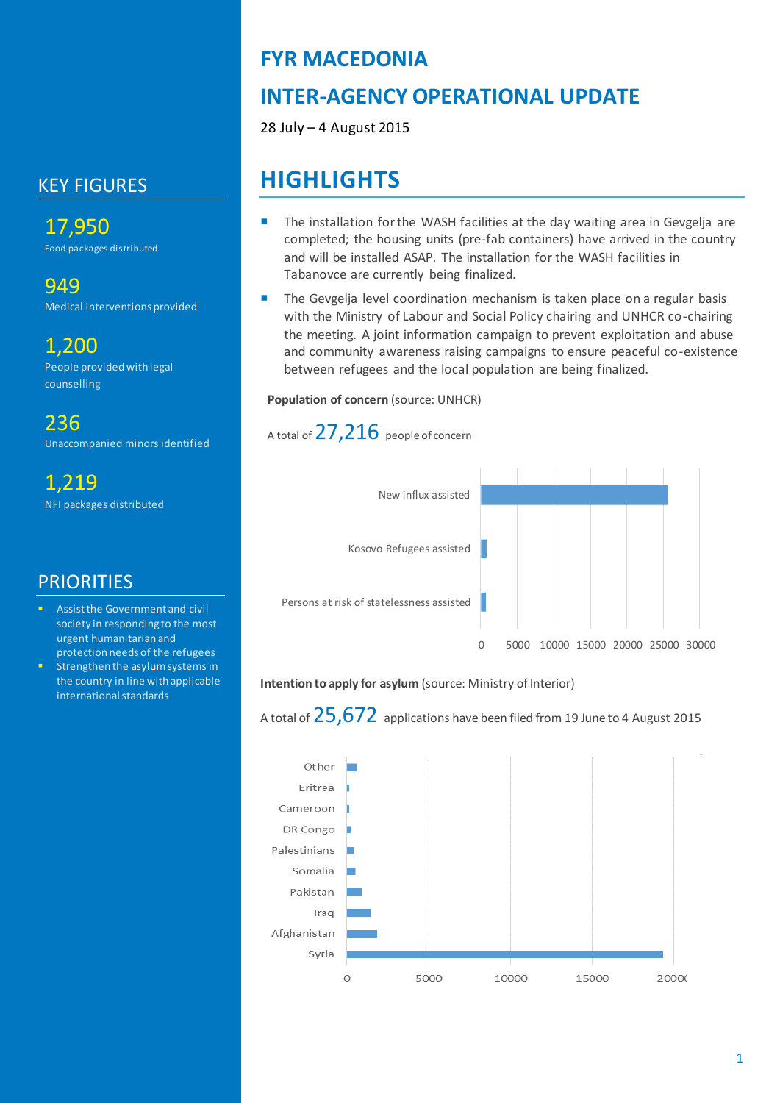## KEY FIGURES

17,950 Food packages distributed

# 949

Medical interventions provided

### 1,200

People provided with legal counselling

236 Unaccompanied minors identified

1,219 NFI packages distributed

### **PRIORITIES**

- Assist the Government and civil society in responding to the most urgent humanitarian and protection needs of the refugees
- Strengthen the asylum systems in the country in line with applicable international standards

## **FYR MACEDONIA**

# **INTER-AGENCY OPERATIONAL UPDATE**

28 July – 4 August 2015

# **HIGHLIGHTS**

- The installation for the WASH facilities at the day waiting area in Gevgelja are completed; the housing units (pre-fab containers) have arrived in the country and will be installed ASAP. The installation for the WASH facilities in Tabanovce are currently being finalized.
- The Gevgelja level coordination mechanism is taken place on a regular basis with the Ministry of Labour and Social Policy chairing and UNHCR co-chairing the meeting. A joint information campaign to prevent exploitation and abuse and community awareness raising campaigns to ensure peaceful co-existence between refugees and the local population are being finalized.

#### **Population of concern (source: UNHCR)**

### A total of 27,216 people of concern



#### **Intention to apply for asylum** (source: Ministry of Interior)

A total of  $25.672$  applications have been filed from 19 June to 4 August 2015

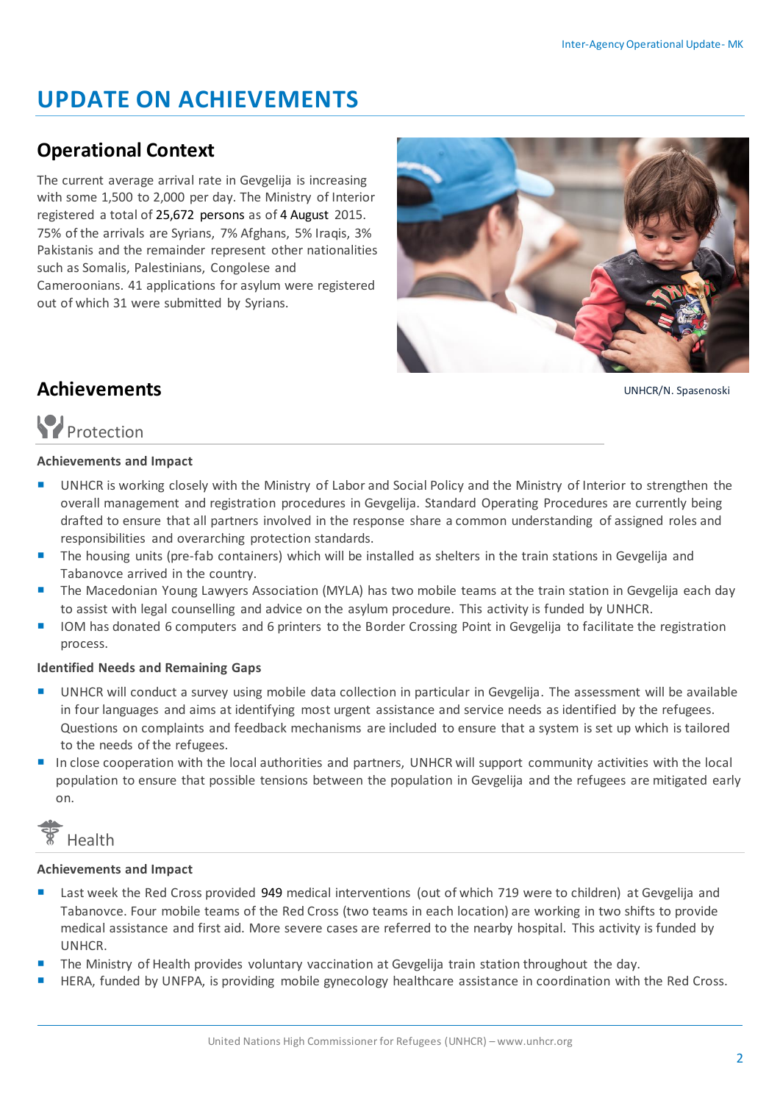# **UPDATE ON ACHIEVEMENTS**

### **Operational Context**

The current average arrival rate in Gevgelija is increasing with some 1,500 to 2,000 per day. The Ministry of Interior registered a total of 25,672 persons as of 4 August 2015. 75% of the arrivals are Syrians, 7% Afghans, 5% Iraqis, 3% Pakistanis and the remainder represent other nationalities such as Somalis, Palestinians, Congolese and Cameroonians. 41 applications for asylum were registered out of which 31 were submitted by Syrians.



UNHCR/N. Spasenoski

## **Achievements**

# Protection

#### **Achievements and Impact**

- UNHCR is working closely with the Ministry of Labor and Social Policy and the Ministry of Interior to strengthen the overall management and registration procedures in Gevgelija. Standard Operating Procedures are currently being drafted to ensure that all partners involved in the response share a common understanding of assigned roles and responsibilities and overarching protection standards.
- The housing units (pre-fab containers) which will be installed as shelters in the train stations in Gevgelija and Tabanovce arrived in the country.
- **The Macedonian Young Lawyers Association (MYLA) has two mobile teams at the train station in Gevgelija each day** to assist with legal counselling and advice on the asylum procedure. This activity is funded by UNHCR.
- IOM has donated 6 computers and 6 printers to the Border Crossing Point in Gevgelija to facilitate the registration process.

#### **Identified Needs and Remaining Gaps**

- UNHCR will conduct a survey using mobile data collection in particular in Gevgelija. The assessment will be available in four languages and aims at identifying most urgent assistance and service needs as identified by the refugees. Questions on complaints and feedback mechanisms are included to ensure that a system is set up which is tailored to the needs of the refugees.
- In close cooperation with the local authorities and partners, UNHCR will support community activities with the local population to ensure that possible tensions between the population in Gevgelija and the refugees are mitigated early on.

# Health

#### **Achievements and Impact**

- **Last week the Red Cross provided 949 medical interventions (out of which 719 were to children) at Gevgelija and** Tabanovce. Four mobile teams of the Red Cross (two teams in each location) are working in two shifts to provide medical assistance and first aid. More severe cases are referred to the nearby hospital. This activity is funded by UNHCR.
- The Ministry of Health provides voluntary vaccination at Gevgelija train station throughout the day.
- HERA, funded by UNFPA, is providing mobile gynecology healthcare assistance in coordination with the Red Cross.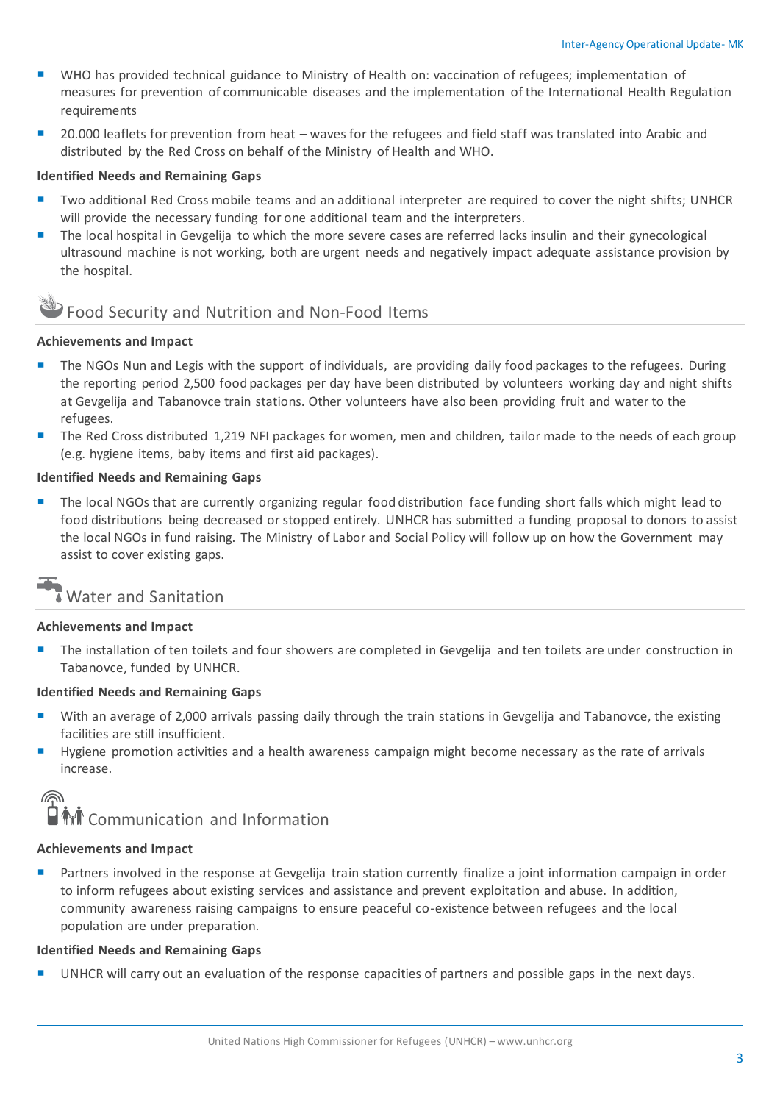- WHO has provided technical guidance to Ministry of Health on: vaccination of refugees; implementation of measures for prevention of communicable diseases and the implementation of the International Health Regulation requirements
- 20.000 leaflets for prevention from heat waves for the refugees and field staff was translated into Arabic and distributed by the Red Cross on behalf of the Ministry of Health and WHO.

#### **Identified Needs and Remaining Gaps**

- Two additional Red Cross mobile teams and an additional interpreter are required to cover the night shifts; UNHCR will provide the necessary funding for one additional team and the interpreters.
- **The local hospital in Gevgelija to which the more severe cases are referred lacks insulin and their gynecological** ultrasound machine is not working, both are urgent needs and negatively impact adequate assistance provision by the hospital.

### Food Security and Nutrition and Non-Food Items

#### **Achievements and Impact**

- **The NGOs Nun and Legis with the support of individuals, are providing daily food packages to the refugees. During** the reporting period 2,500 food packages per day have been distributed by volunteers working day and night shifts at Gevgelija and Tabanovce train stations. Other volunteers have also been providing fruit and water to the refugees.
- The Red Cross distributed 1,219 NFI packages for women, men and children, tailor made to the needs of each group (e.g. hygiene items, baby items and first aid packages).

#### **Identified Needs and Remaining Gaps**

**The local NGOs that are currently organizing regular food distribution face funding short falls which might lead to** food distributions being decreased or stopped entirely. UNHCR has submitted a funding proposal to donors to assist the local NGOs in fund raising. The Ministry of Labor and Social Policy will follow up on how the Government may assist to cover existing gaps.

### Water and Sanitation

#### **Achievements and Impact**

The installation of ten toilets and four showers are completed in Gevgelija and ten toilets are under construction in Tabanovce, funded by UNHCR.

#### **Identified Needs and Remaining Gaps**

- With an average of 2,000 arrivals passing daily through the train stations in Gevgelija and Tabanovce, the existing facilities are still insufficient.
- Hygiene promotion activities and a health awareness campaign might become necessary as the rate of arrivals increase.



#### **Achievements and Impact**

**Partners involved in the response at Gevgelija train station currently finalize a joint information campaign in order** to inform refugees about existing services and assistance and prevent exploitation and abuse. In addition, community awareness raising campaigns to ensure peaceful co-existence between refugees and the local population are under preparation.

#### **Identified Needs and Remaining Gaps**

UNHCR will carry out an evaluation of the response capacities of partners and possible gaps in the next days.